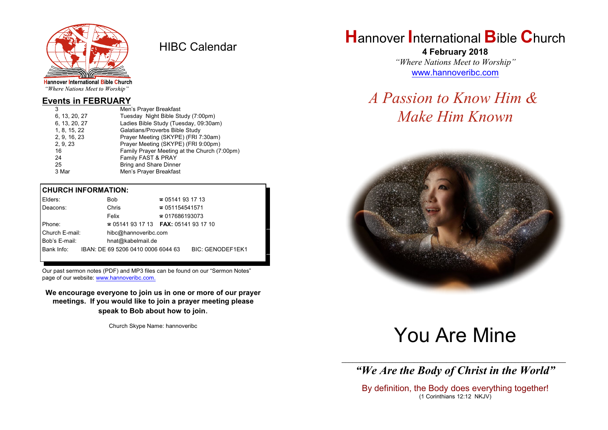

HIBC Calendar

"Where Nations Meet to Worship"

#### **Events in FEBRUARY**

| 3             | Men's Prayer Breakfast                       |
|---------------|----------------------------------------------|
| 6, 13, 20, 27 | Tuesday Night Bible Study (7:00pm)           |
| 6, 13, 20, 27 | Ladies Bible Study (Tuesday, 09:30am)        |
| 1, 8, 15, 22  | Galatians/Proverbs Bible Study               |
| 2, 9, 16, 23  | Prayer Meeting (SKYPE) (FRI 7:30am)          |
| 2, 9, 23      | Prayer Meeting (SKYPE) (FRI 9:00pm)          |
| 16            | Family Prayer Meeting at the Church (7:00pm) |
| 24            | Family FAST & PRAY                           |
| 25            | Bring and Share Dinner                       |
| 3 Mar         | Men's Prayer Breakfast                       |
|               |                                              |

#### **CHURCH INFORMATION:**

| Elders:        | Bob.                                     | $\approx 05141931713$  |                         |
|----------------|------------------------------------------|------------------------|-------------------------|
| Deacons:       | Chris                                    | $\approx 051154541571$ |                         |
|                | Felix                                    | $\approx 017686193073$ |                         |
| Phone:         | $\approx 05141931713$ FAX: 0514193 17 10 |                        |                         |
| Church E-mail: | hibc@hannoveribc.com                     |                        |                         |
| Bob's E-mail:  | hnat@kabelmail.de                        |                        |                         |
| Bank Info:     | IBAN: DE 69 5206 0410 0006 6044 63       |                        | <b>BIC: GENODEF1EK1</b> |
|                |                                          |                        |                         |

Our past sermon notes (PDF) and MP3 files can be found on our "Sermon Notes" page of our website: [www.hannoveribc.com.](http://www.hannoveribc.com.)

**We encourage everyone to join us in one or more of our prayer meetings. If you would like to join a prayer meeting please speak to Bob about how to join**.

Church Skype Name: hannoveribc

## **H**annover **I**nternational **B**ible **C**hurch

**4 February 2018** *"Where Nations Meet to Worship"* [www.hannoveribc.com](http://www.hannoveribc.com)

# *A Passion to Know Him & Make Him Known*



# You Are Mine

\_\_\_\_\_\_\_\_\_\_\_\_\_\_\_\_\_\_\_\_\_\_\_\_\_\_\_\_\_\_\_\_\_\_\_\_\_\_\_\_\_\_\_\_\_\_\_\_\_\_\_\_\_\_\_\_\_\_\_\_\_\_ *"We Are the Body of Christ in the World"*

By definition, the Body does everything together! (1 Corinthians 12:12 NKJV)